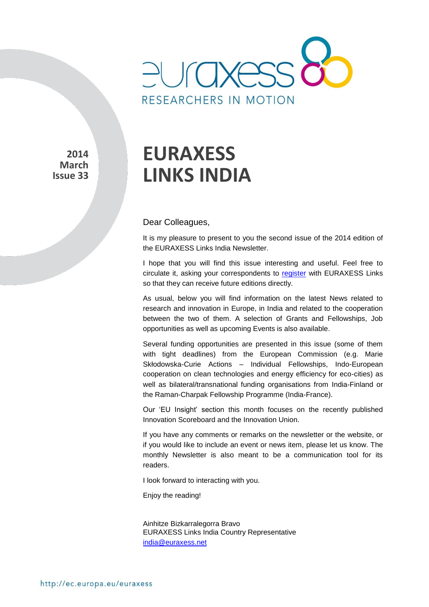

**2014 March Issue 33** 

# **EURAXESS LINKS INDIA**

### Dear Colleagues,

It is my pleasure to present to you the second issue of the 2014 edition of the EURAXESS Links India Newsletter.

I hope that you will find this issue interesting and useful. Feel free to circulate it, asking your correspondents to [register](http://europa.eu/sinapse/directaccess/euraxess-links-india/join) with EURAXESS Links so that they can receive future editions directly.

As usual, below you will find information on the latest News related to research and innovation in Europe, in India and related to the cooperation between the two of them. A selection of Grants and Fellowships, Job opportunities as well as upcoming Events is also available.

Several funding opportunities are presented in this issue (some of them with tight deadlines) from the European Commission (e.g. Marie Skłodowska-Curie Actions – Individual Fellowships, Indo-European cooperation on clean technologies and energy efficiency for eco-cities) as well as bilateral/transnational funding organisations from India-Finland or the Raman-Charpak Fellowship Programme (India-France).

Our 'EU Insight' section this month focuses on the recently published Innovation Scoreboard and the Innovation Union.

If you have any comments or remarks on the newsletter or the website, or if you would like to include an event or news item, please let us know. The monthly Newsletter is also meant to be a communication tool for its readers.

I look forward to interacting with you.

Enjoy the reading!

Ainhitze Bizkarralegorra Bravo EURAXESS Links India Country Representative [india@euraxess.net](mailto:aurelie.pachkoff@euraxess.net)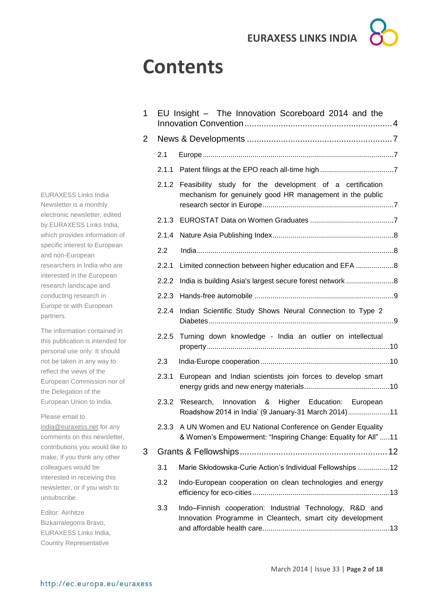## **Contents**

| 1 |       | EU Insight - The Innovation Scoreboard 2014 and the                                                                              |  |  |  |
|---|-------|----------------------------------------------------------------------------------------------------------------------------------|--|--|--|
| 2 |       |                                                                                                                                  |  |  |  |
|   | 2.1   |                                                                                                                                  |  |  |  |
|   | 2.1.1 |                                                                                                                                  |  |  |  |
|   | 2.1.2 | Feasibility study for the development of a certification<br>mechanism for genuinely good HR management in the public             |  |  |  |
|   | 2.1.3 |                                                                                                                                  |  |  |  |
|   | 2.1.4 |                                                                                                                                  |  |  |  |
|   | 2.2   |                                                                                                                                  |  |  |  |
|   | 2.2.1 | Limited connection between higher education and EFA 8                                                                            |  |  |  |
|   | 2.2.2 |                                                                                                                                  |  |  |  |
|   | 2.2.3 |                                                                                                                                  |  |  |  |
|   | 2.2.4 | Indian Scientific Study Shows Neural Connection to Type 2                                                                        |  |  |  |
|   | 2.2.5 | Turning down knowledge - India an outlier on intellectual                                                                        |  |  |  |
|   | 2.3   |                                                                                                                                  |  |  |  |
|   | 2.3.1 | European and Indian scientists join forces to develop smart                                                                      |  |  |  |
|   | 2.3.2 | 'Research, Innovation & Higher Education: European<br>Roadshow 2014 in India' (9 January-31 March 2014)11                        |  |  |  |
|   |       | 2.3.3 A UN Women and EU National Conference on Gender Equality<br>& Women's Empowerment: "Inspiring Change: Equality for All" 11 |  |  |  |
| 3 |       |                                                                                                                                  |  |  |  |
|   | 3.1   | Marie Skłodowska-Curie Action's Individual Fellowships 12                                                                        |  |  |  |
|   | 3.2   | Indo-European cooperation on clean technologies and energy                                                                       |  |  |  |
|   | 3.3   | Indo-Finnish cooperation: Industrial Technology, R&D and<br>Innovation Programme in Cleantech, smart city development            |  |  |  |

EURAXESS Links India Newsletter is a monthly electronic newsletter, edited by EURAXESS Links India, which provides information of specific interest to European and non-European researchers in India who are interested in the European research landscape and conducting research in Europe or with European partners.

The information contained in this publication is intended for personal use only. It should not be taken in any way to reflect the views of the European Commission nor of the Delegation of the European Union to India.

Please email to [india@euraxess.net](mailto:india@euraxess.net) for any comments on this newsletter, contributions you would like to make, if you think any other colleagues would be interested in receiving this newsletter, or if you wish to

Editor: Ainhitze Bizkarralegorra Bravo, EURAXESS Links India, Country Representative

unsubscribe.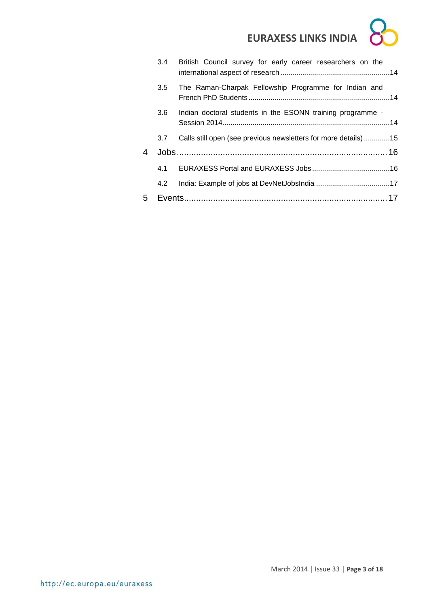|   |     | 3.4 British Council survey for early career researchers on the |  |
|---|-----|----------------------------------------------------------------|--|
|   | 3.5 | The Raman-Charpak Fellowship Programme for Indian and          |  |
|   | 3.6 | Indian doctoral students in the ESONN training programme -     |  |
|   | 3.7 | Calls still open (see previous newsletters for more details)15 |  |
| 4 |     |                                                                |  |
|   |     |                                                                |  |
|   | 4.2 |                                                                |  |
| 5 |     |                                                                |  |
|   |     |                                                                |  |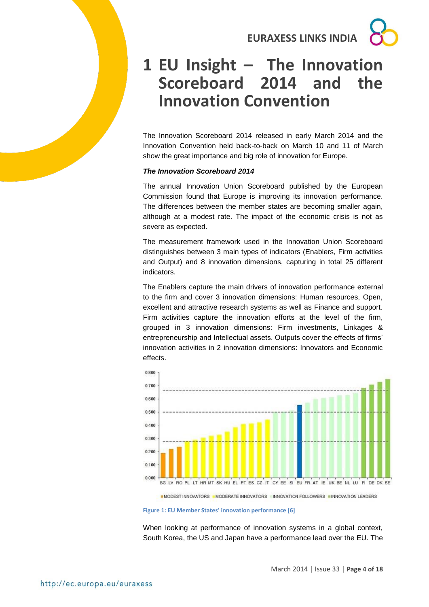## <span id="page-3-0"></span>**1 EU Insight – The Innovation Scoreboard 2014 and the Innovation Convention**

The Innovation Scoreboard 2014 released in early March 2014 and the Innovation Convention held back-to-back on March 10 and 11 of March show the great importance and big role of innovation for Europe.

#### *The Innovation Scoreboard 2014*

The annual Innovation Union Scoreboard published by the European Commission found that Europe is improving its innovation performance. The differences between the member states are becoming smaller again, although at a modest rate. The impact of the economic crisis is not as severe as expected.

The measurement framework used in the Innovation Union Scoreboard distinguishes between 3 main types of indicators (Enablers, Firm activities and Output) and 8 innovation dimensions, capturing in total 25 different indicators.

The Enablers capture the main drivers of innovation performance external to the firm and cover 3 innovation dimensions: Human resources, Open, excellent and attractive research systems as well as Finance and support. Firm activities capture the innovation efforts at the level of the firm, grouped in 3 innovation dimensions: Firm investments, Linkages & entrepreneurship and Intellectual assets. Outputs cover the effects of firms' innovation activities in 2 innovation dimensions: Innovators and Economic effects.



**■MODEST INNOVATORS** ■MODERATE INNOVATORS ■INNOVATION FOLLOWERS ■INNOVATION LEADERS

**Figure 1: EU Member States' innovation performance [6]**

When looking at performance of innovation systems in a global context, South Korea, the US and Japan have a performance lead over the EU. The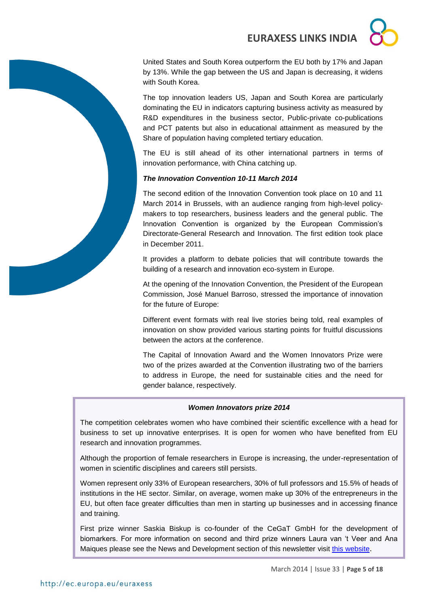United States and South Korea outperform the EU both by 17% and Japan by 13%. While the gap between the US and Japan is decreasing, it widens with South Korea.

The top innovation leaders US, Japan and South Korea are particularly dominating the EU in indicators capturing business activity as measured by R&D expenditures in the business sector, Public-private co-publications and PCT patents but also in educational attainment as measured by the Share of population having completed tertiary education.

The EU is still ahead of its other international partners in terms of innovation performance, with China catching up.

### *The Innovation Convention 10-11 March 2014*

The second edition of the Innovation Convention took place on 10 and 11 March 2014 in Brussels, with an audience ranging from high-level policymakers to top researchers, business leaders and the general public. The Innovation Convention is organized by the European Commission's Directorate-General Research and Innovation. The first edition took place in December 2011.

It provides a platform to debate policies that will contribute towards the building of a research and innovation eco-system in Europe.

At the opening of the Innovation Convention, the President of the European Commission, José Manuel Barroso, stressed the importance of innovation for the future of Europe:

Different event formats with real live stories being told, real examples of innovation on show provided various starting points for fruitful discussions between the actors at the conference.

The Capital of Innovation Award and the Women Innovators Prize were two of the prizes awarded at the Convention illustrating two of the barriers to address in Europe, the need for sustainable cities and the need for gender balance, respectively.

### *Women Innovators prize 2014*

The competition celebrates women who have combined their scientific excellence with a head for business to set up innovative enterprises. It is open for women who have benefited from EU research and innovation programmes.

Although the proportion of female researchers in Europe is increasing, the under-representation of women in scientific disciplines and careers still persists.

Women represent only 33% of European researchers, 30% of full professors and 15.5% of heads of institutions in the HE sector. Similar, on average, women make up 30% of the entrepreneurs in the EU, but often face greater difficulties than men in starting up businesses and in accessing finance and training.

First prize winner Saskia Biskup is co-founder of the CeGaT GmbH for the development of biomarkers. For more information on second and third prize winners Laura van 't Veer and Ana Maiques please see the News and Development section of this newsletter visit [this website](http://ec.europa.eu/research/innovation-union/index_en.cfm?section=women-innovators).

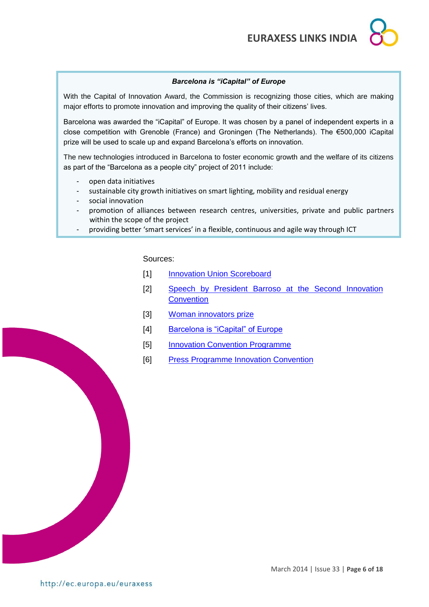### *Barcelona is "iCapital" of Europe*

With the Capital of Innovation Award, the Commission is recognizing those cities, which are making major efforts to promote innovation and improving the quality of their citizens' lives.

Barcelona was awarded the "iCapital" of Europe. It was chosen by a panel of independent experts in a close competition with Grenoble (France) and Groningen (The Netherlands). The €500,000 iCapital prize will be used to scale up and expand Barcelona's efforts on innovation.

The new technologies introduced in Barcelona to foster economic growth and the welfare of its citizens as part of the "Barcelona as a people city" project of 2011 include:

- open data initiatives
- sustainable city growth initiatives on smart lighting, mobility and residual energy
- social innovation
- promotion of alliances between research centres, universities, private and public partners within the scope of the project
- providing better 'smart services' in a flexible, continuous and agile way through ICT

Sources:

- [1] [Innovation Union Scoreboard](http://ec.europa.eu/enterprise/policies/innovation/policy/innovation-scoreboard/index_en.htm)
- [2] [Speech by President Barroso at the Second Innovation](http://europa.eu/rapid/press-release_SPEECH-14-198_en.htm)  **[Convention](http://europa.eu/rapid/press-release_SPEECH-14-198_en.htm)**
- [3] [Woman innovators prize](http://europa.eu/rapid/press-release_IP-14-225_en.htm)
- [4] [Barcelona is "iCapital" of Europe](http://europa.eu/rapid/press-release_IP-14-239_en.htm)
- [5] [Innovation Convention Programme](http://ec.europa.eu/research/innovation-union/pdf/ic2014/Innovation_Convention_Programme_2014.pdf#view=fit&pagemode=none)
- [6] [Press Programme Innovation Convention](http://ec.europa.eu/research/innovation-union/pdf/ic2014/PressPack.pdf)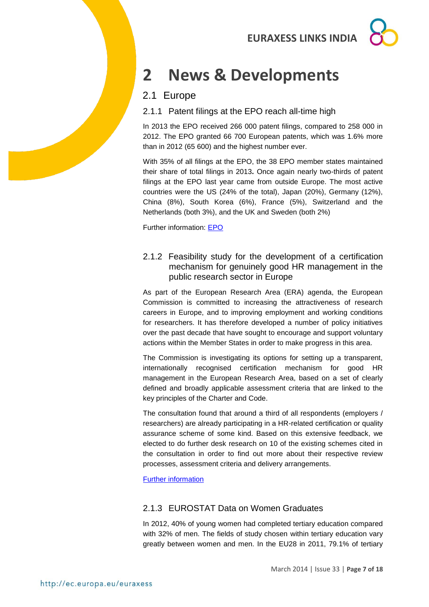## <span id="page-6-0"></span>**2 News & Developments**

### <span id="page-6-1"></span>2.1 Europe

<span id="page-6-2"></span>2.1.1 Patent filings at the EPO reach all-time high

In 2013 the EPO received 266 000 patent filings, compared to 258 000 in 2012. The EPO granted 66 700 European patents, which was 1.6% more than in 2012 (65 600) and the highest number ever.

With 35% of all filings at the EPO, the 38 EPO member states maintained their share of total filings in 2013**.** Once again nearly two-thirds of patent filings at the EPO last year came from outside Europe. The most active countries were the US (24% of the total), Japan (20%), Germany (12%), China (8%), South Korea (6%), France (5%), Switzerland and the Netherlands (both 3%), and the UK and Sweden (both 2%)

Further information: [EPO](http://www.epo.org/news-issues/news/2014/20140306.html)

<span id="page-6-3"></span>2.1.2 Feasibility study for the development of a certification mechanism for genuinely good HR management in the public research sector in Europe

As part of the European Research Area (ERA) agenda, the European Commission is committed to increasing the attractiveness of research careers in Europe, and to improving employment and working conditions for researchers. It has therefore developed a number of policy initiatives over the past decade that have sought to encourage and support voluntary actions within the Member States in order to make progress in this area.

The Commission is investigating its options for setting up a transparent, internationally recognised certification mechanism for good HR management in the European Research Area, based on a set of clearly defined and broadly applicable assessment criteria that are linked to the key principles of the Charter and Code.

The consultation found that around a third of all respondents (employers / researchers) are already participating in a HR-related certification or quality assurance scheme of some kind. Based on this extensive feedback, we elected to do further desk research on 10 of the existing schemes cited in the consultation in order to find out more about their respective review processes, assessment criteria and delivery arrangements.

[Further information](http://ec.europa.eu/euraxess/pdf/hrs4r/K3_X20_Final_Report_revised.pdf)

### <span id="page-6-4"></span>2.1.3 EUROSTAT Data on Women Graduates

In 2012, 40% of young women had completed tertiary education compared with 32% of men. The fields of study chosen within tertiary education vary greatly between women and men. In the EU28 in 2011, 79.1% of tertiary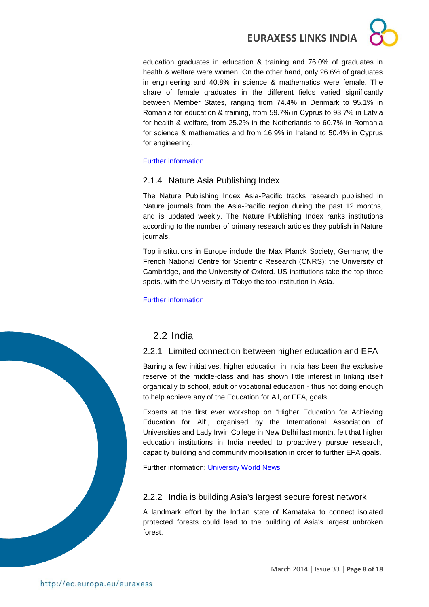education graduates in education & training and 76.0% of graduates in health & welfare were women. On the other hand, only 26.6% of graduates in engineering and 40.8% in science & mathematics were female. The share of female graduates in the different fields varied significantly between Member States, ranging from 74.4% in Denmark to 95.1% in Romania for education & training, from 59.7% in Cyprus to 93.7% in Latvia for health & welfare, from 25.2% in the Netherlands to 60.7% in Romania for science & mathematics and from 16.9% in Ireland to 50.4% in Cyprus for engineering.

### [Further information](http://epp.eurostat.ec.europa.eu/cache/ITY_PUBLIC/3-07032014-BP/EN/3-07032014-BP-EN.PDF)

### <span id="page-7-0"></span>2.1.4 Nature Asia Publishing Index

The Nature Publishing Index Asia-Pacific tracks research published in Nature journals from the Asia-Pacific region during the past 12 months, and is updated weekly. The Nature Publishing Index ranks institutions according to the number of primary research articles they publish in Nature journals.

Top institutions in Europe include the Max Planck Society, Germany; the French National Centre for Scientific Research (CNRS); the University of Cambridge, and the University of Oxford. US institutions take the top three spots, with the University of Tokyo the top institution in Asia.

[Further information](http://www.natureasia.com/en/publishing-index/global/)

<span id="page-7-1"></span>

### <span id="page-7-2"></span>2.2.1 Limited connection between higher education and EFA

Barring a few initiatives, higher education in India has been the exclusive reserve of the middle-class and has shown little interest in linking itself organically to school, adult or vocational education - thus not doing enough to help achieve any of the Education for All, or EFA, goals.

Experts at the first ever workshop on "Higher Education for Achieving Education for All", organised by the International Association of Universities and Lady Irwin College in New Delhi last month, felt that higher education institutions in India needed to proactively pursue research, capacity building and community mobilisation in order to further EFA goals.

Further information: [University World News](http://www.universityworldnews.com/article.php?story=20140309163226247)

### <span id="page-7-3"></span>2.2.2 India is building Asia's largest secure forest network

A landmark effort by the Indian state of Karnataka to connect isolated protected forests could lead to the building of Asia's largest unbroken forest.

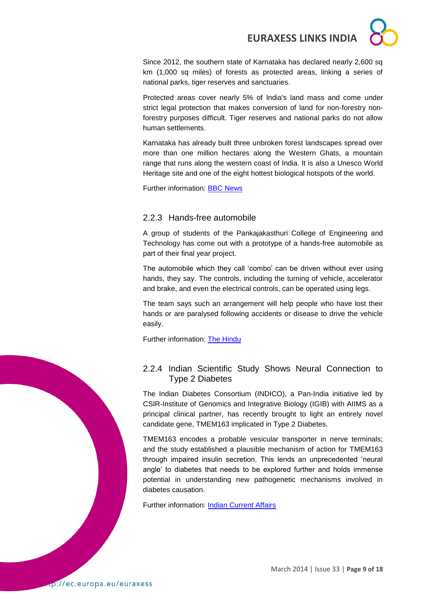Since 2012, the southern state of Karnataka has declared nearly 2,600 sq km (1,000 sq miles) of forests as protected areas, linking a series of national parks, tiger reserves and sanctuaries.

Protected areas cover nearly 5% of India's land mass and come under strict legal protection that makes conversion of land for non-forestry nonforestry purposes difficult. Tiger reserves and national parks do not allow human settlements.

Karnataka has already built three unbroken forest landscapes spread over more than one million hectares along the Western Ghats, a mountain range that runs along the western coast of India. It is also a Unesco World Heritage site and one of the eight hottest biological hotspots of the world.

Further information: [BBC News](http://www.bbc.com/news/world-asia-india-26478430)

### <span id="page-8-0"></span>2.2.3 Hands-free automobile

A group of students of the Pankajakasthuri College of Engineering and Technology has come out with a prototype of a hands-free automobile as part of their final year project.

The automobile which they call 'combo' can be driven without ever using hands, they say. The controls, including the turning of vehicle, accelerator and brake, and even the electrical controls, can be operated using legs.

The team says such an arrangement will help people who have lost their hands or are paralysed following accidents or disease to drive the vehicle easily.

Further information: [The Hindu](http://www.thehindu.com/sci-tech/technology/a-handsfree-automobile/article5825118.ece?utm_source=RSS_Feed&utm_medium=RSS&utm_campaign=RSS_Syndication)

### <span id="page-8-1"></span>2.2.4 Indian Scientific Study Shows Neural Connection to Type 2 Diabetes

The Indian Diabetes Consortium (INDICO), a Pan-India initiative led by CSIR-Institute of Genomics and Integrative Biology (IGIB) with AIIMS as a principal clinical partner, has recently brought to light an entirely novel candidate gene, TMEM163 implicated in Type 2 Diabetes.

TMEM163 encodes a probable vesicular transporter in nerve terminals; and the study established a plausible mechanism of action for TMEM163 through impaired insulin secretion. This lends an unprecedented 'neural angle' to diabetes that needs to be explored further and holds immense potential in understanding new pathogenetic mechanisms involved in diabetes causation.

Further information: [Indian Current Affairs](http://indiacurrentaffairs.org/indian-scientific-study-shows-neural-connection-to-type-2-diabetes/)

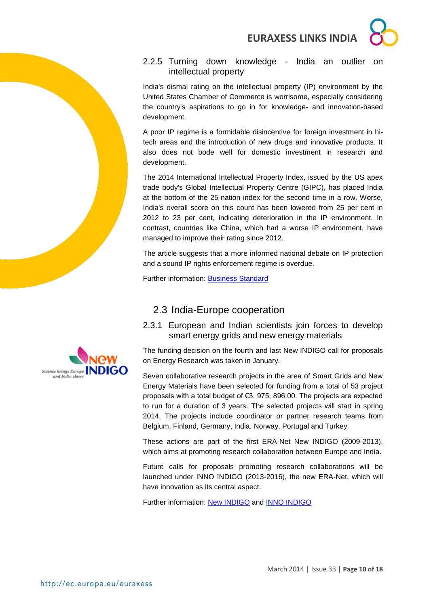

### <span id="page-9-0"></span>2.2.5 Turning down knowledge - India an outlier intellectual property

India's dismal rating on the intellectual property (IP) environment by the United States Chamber of Commerce is worrisome, especially considering the country's aspirations to go in for knowledge- and innovation-based development.

A poor IP regime is a formidable disincentive for foreign investment in hitech areas and the introduction of new drugs and innovative products. It also does not bode well for domestic investment in research and development.

The 2014 International Intellectual Property Index, issued by the US apex trade body's Global Intellectual Property Centre (GIPC), has placed India at the bottom of the 25-nation index for the second time in a row. Worse, India's overall score on this count has been lowered from 25 per cent in 2012 to 23 per cent, indicating deterioration in the IP environment. In contrast, countries like China, which had a worse IP environment, have managed to improve their rating since 2012.

The article suggests that a more informed national debate on IP protection and a sound IP rights enforcement regime is overdue.

Further information: [Business Standard](http://www.business-standard.com/article/opinion/turning-down-knowledge-114020501519_1.html)

### <span id="page-9-1"></span>2.3 India-Europe cooperation

<span id="page-9-2"></span>2.3.1 European and Indian scientists join forces to develop smart energy grids and new energy materials

The funding decision on the fourth and last New INDIGO call for proposals on Energy Research was taken in January.

Seven collaborative research projects in the area of Smart Grids and New Energy Materials have been selected for funding from a total of 53 project proposals with a total budget of €3, 975, 896.00. The projects are expected to run for a duration of 3 years. The selected projects will start in spring 2014. The projects include coordinator or partner research teams from Belgium, Finland, Germany, India, Norway, Portugal and Turkey.

These actions are part of the first ERA-Net New INDIGO (2009-2013), which aims at promoting research collaboration between Europe and India.

Future calls for proposals promoting research collaborations will be launched under INNO INDIGO (2013-2016), the new ERA-Net, which will have innovation as its central aspect.

Further information: [New INDIGO](http://www.newindigo.eu/object/news/5949.html) and [INNO INDIGO](http://www.newindigo.eu/attach/131107_INNOINDIGO_Factsheet.pdf)

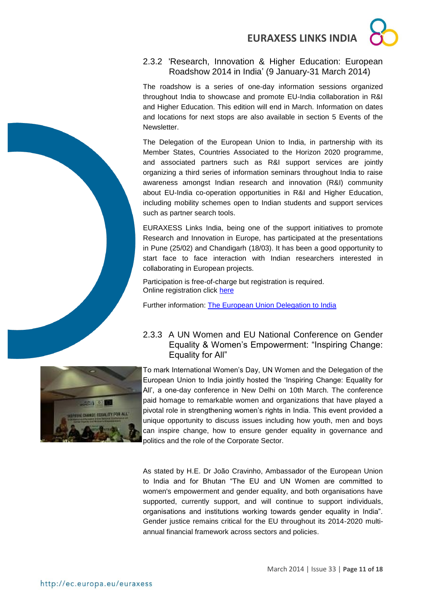### <span id="page-10-0"></span>2.3.2 'Research, Innovation & Higher Education: European Roadshow 2014 in India' (9 January-31 March 2014)

The roadshow is a series of one-day information sessions organized throughout India to showcase and promote EU-India collaboration in R&I and Higher Education. This edition will end in March. Information on dates and locations for next stops are also available in section 5 Events of the Newsletter.

The Delegation of the European Union to India, in partnership with its Member States, Countries Associated to the Horizon 2020 programme, and associated partners such as R&I support services are jointly organizing a third series of information seminars throughout India to raise awareness amongst Indian research and innovation (R&I) community about EU-India co-operation opportunities in R&I and Higher Education, including mobility schemes open to Indian students and support services such as partner search tools.

EURAXESS Links India, being one of the support initiatives to promote Research and Innovation in Europe, has participated at the presentations in Pune (25/02) and Chandigarh (18/03). It has been a good opportunity to start face to face interaction with Indian researchers interested in collaborating in European projects.

Participation is free-of-charge but registration is required. Online registration click [here](http://www.euindiacoop.org/campaign2014/)

Further information: [The European Union Delegation to India](http://eeas.europa.eu/delegations/india/eu_india/research_innovation/2014_en.htm)

### <span id="page-10-1"></span>2.3.3 A UN Women and EU National Conference on Gender Equality & Women's Empowerment: "Inspiring Change: Equality for All"

To mark International Women's Day, UN Women and the Delegation of the European Union to India jointly hosted the 'Inspiring Change: Equality for All', a one-day conference in New Delhi on 10th March. The conference paid homage to remarkable women and organizations that have played a pivotal role in strengthening women's rights in India. This event provided a unique opportunity to discuss issues including how youth, men and boys can inspire change, how to ensure gender equality in governance and politics and the role of the Corporate Sector.

As stated by H.E. Dr João Cravinho, Ambassador of the European Union to India and for Bhutan "The EU and UN Women are committed to women's empowerment and gender equality, and both organisations have supported, currently support, and will continue to support individuals, organisations and institutions working towards gender equality in India". Gender justice remains critical for the EU throughout its 2014-2020 multiannual financial framework across sectors and policies.



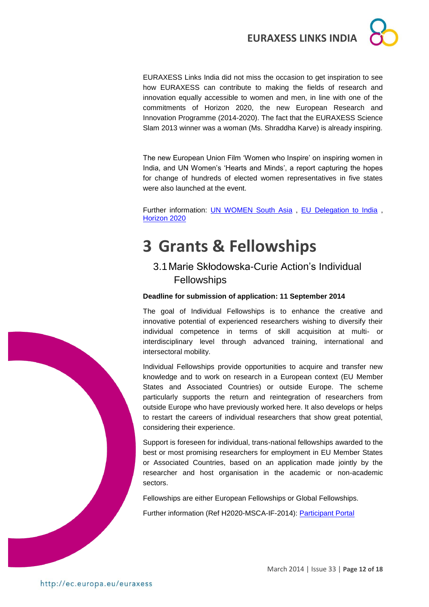

EURAXESS Links India did not miss the occasion to get inspiration to see how EURAXESS can contribute to making the fields of research and innovation equally accessible to women and men, in line with one of the commitments of Horizon 2020, the new European Research and Innovation Programme (2014-2020). The fact that the EURAXESS Science Slam 2013 winner was a woman (Ms. Shraddha Karve) is already inspiring.

The new European Union Film 'Women who Inspire' on inspiring women in India, and UN Women's 'Hearts and Minds', a report capturing the hopes for change of hundreds of elected women representatives in five states were also launched at the event.

Further information: [UN WOMEN South Asia](http://www.unwomensouthasia.org/2014/inspiring-change-conference-by-un-women-and-the-european-union-on-10-march-in-new-delhi-to-pay-homage-to-changemakers/) , [EU Delegation to India](http://eeas.europa.eu/delegations/india/documents/eu-unwomen_-_press_release.pdf) , [Horizon 2020](https://ec.europa.eu/programmes/horizon2020/sites/horizon2020/files/FactSheet_Gender_2.pdf)

## <span id="page-11-0"></span>**3 Grants & Fellowships**

### <span id="page-11-1"></span>3.1Marie Skłodowska-Curie Action's Individual **Fellowships**

### **Deadline for submission of application: 11 September 2014**

The goal of Individual Fellowships is to enhance the creative and innovative potential of experienced researchers wishing to diversify their individual competence in terms of skill acquisition at multi- or interdisciplinary level through advanced training, international and intersectoral mobility.

Individual Fellowships provide opportunities to acquire and transfer new knowledge and to work on research in a European context (EU Member States and Associated Countries) or outside Europe. The scheme particularly supports the return and reintegration of researchers from outside Europe who have previously worked here. It also develops or helps to restart the careers of individual researchers that show great potential, considering their experience.

Support is foreseen for individual, trans-national fellowships awarded to the best or most promising researchers for employment in EU Member States or Associated Countries, based on an application made jointly by the researcher and host organisation in the academic or non-academic sectors.

Fellowships are either European Fellowships or Global Fellowships.

Further information (Ref H2020-MSCA-IF-2014): [Participant Portal](http://ec.europa.eu/research/participants/portal/desktop/en/opportunities/h2020/calls/h2020-msca-if-2014.html#tab2)

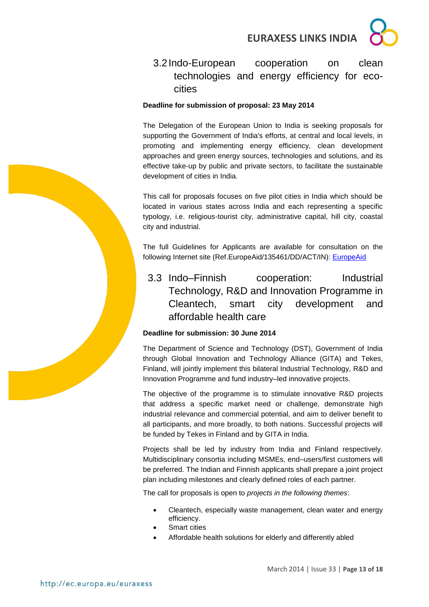

### <span id="page-12-0"></span>3.2Indo-European cooperation on clean technologies and energy efficiency for ecocities

#### **Deadline for submission of proposal: 23 May 2014**

The Delegation of the European Union to India is seeking proposals for supporting the Government of India's efforts, at central and local levels, in promoting and implementing energy efficiency, clean development approaches and green energy sources, technologies and solutions, and its effective take-up by public and private sectors, to facilitate the sustainable development of cities in India.

This call for proposals focuses on five pilot cities in India which should be located in various states across India and each representing a specific typology, i.e. religious-tourist city, administrative capital, hill city, coastal city and industrial.

The full Guidelines for Applicants are available for consultation on the following Internet site (Ref.EuropeAid/135461/DD/ACT/IN): [EuropeAid](https://webgate.ec.europa.eu/europeaid/online-services/index.cfm?do=publi.welcome&nbPubliList=15&orderby=upd&orderbyad=Desc&searchtype=RS&aofr=135461&userlanguage=en)

<span id="page-12-1"></span>3.3 Indo–Finnish cooperation: Industrial Technology, R&D and Innovation Programme in Cleantech, smart city development and affordable health care

### **Deadline for submission: 30 June 2014**

The Department of Science and Technology (DST), Government of India through Global Innovation and Technology Alliance (GITA) and Tekes, Finland, will jointly implement this bilateral Industrial Technology, R&D and Innovation Programme and fund industry–led innovative projects.

The objective of the programme is to stimulate innovative R&D projects that address a specific market need or challenge, demonstrate high industrial relevance and commercial potential, and aim to deliver benefit to all participants, and more broadly, to both nations. Successful projects will be funded by Tekes in Finland and by GITA in India.

Projects shall be led by industry from India and Finland respectively. Multidisciplinary consortia including MSMEs, end–users/first customers will be preferred. The Indian and Finnish applicants shall prepare a joint project plan including milestones and clearly defined roles of each partner.

The call for proposals is open to *projects in the following themes*:

- Cleantech, especially waste management, clean water and energy efficiency.
- Smart cities
- Affordable health solutions for elderly and differently abled

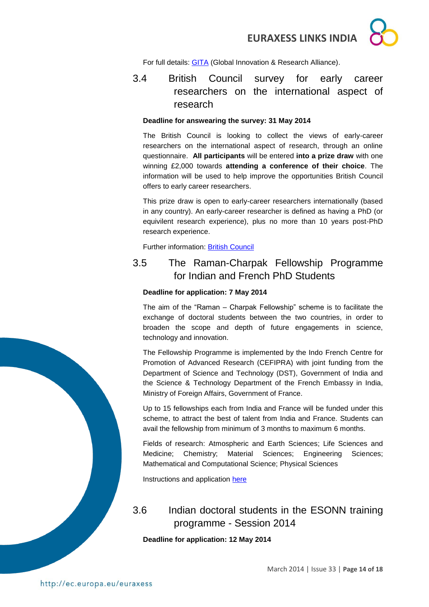For full details: [GITA](http://gita.org.in/funding_country_6.html) (Global Innovation & Research Alliance).

### <span id="page-13-0"></span>3.4 British Council survey for early career researchers on the international aspect of research

### **Deadline for answearing the survey: 31 May 2014**

The British Council is looking to collect the views of early-career researchers on the international aspect of research, through an online questionnaire. **All participants** will be entered **into a prize draw** with one winning £2,000 towards **attending a conference of their choice**. The information will be used to help improve the opportunities British Council offers to early career researchers.

This prize draw is open to early-career researchers internationally (based in any country). An early-career researcher is defined as having a PhD (or equivilent research experience), plus no more than 10 years post-PhD research experience.

Further information: [British Council](http://www.britishcouncil.org/society/science/questionnaire-prize)

### <span id="page-13-1"></span>3.5 The Raman-Charpak Fellowship Programme for Indian and French PhD Students

### **Deadline for application: 7 May 2014**

The aim of the "Raman – Charpak Fellowship" scheme is to facilitate the exchange of doctoral students between the two countries, in order to broaden the scope and depth of future engagements in science, technology and innovation.

The Fellowship Programme is implemented by the Indo French Centre for Promotion of Advanced Research (CEFIPRA) with joint funding from the Department of Science and Technology (DST), Government of India and the Science & Technology Department of the French Embassy in India, Ministry of Foreign Affairs, Government of France.

Up to 15 fellowships each from India and France will be funded under this scheme, to attract the best of talent from India and France. Students can avail the fellowship from minimum of 3 months to maximum 6 months.

Fields of research: Atmospheric and Earth Sciences; Life Sciences and Medicine; Chemistry; Material Sciences; Engineering Sciences; Mathematical and Computational Science; Physical Sciences

Instructions and application [here](http://cefipra.org/raman-charpak/)

### <span id="page-13-2"></span>3.6 Indian doctoral students in the ESONN training programme - Session 2014

**Deadline for application: 12 May 2014**



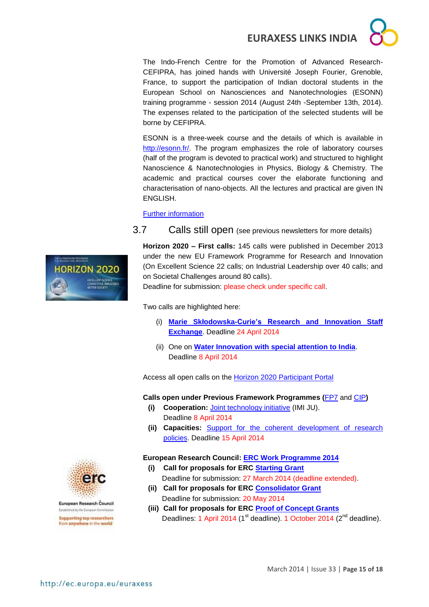The Indo-French Centre for the Promotion of Advanced Research-CEFIPRA, has joined hands with Université Joseph Fourier, Grenoble, France, to support the participation of Indian doctoral students in the European School on Nanosciences and Nanotechnologies (ESONN) training programme - session 2014 (August 24th -September 13th, 2014). The expenses related to the participation of the selected students will be borne by CEFIPRA.

ESONN is a three-week course and the details of which is available in [http://esonn.fr/.](http://esonn.fr/) The program emphasizes the role of laboratory courses (half of the program is devoted to practical work) and structured to highlight Nanoscience & Nanotechnologies in Physics, Biology & Chemistry. The academic and practical courses cover the elaborate functioning and characterisation of nano-objects. All the lectures and practical are given IN ENGLISH.

[Further information](http://www.cefipra.org/pdf/ESONN_flyer_2014.pdf)

<span id="page-14-0"></span>3.7 Calls still open (see previous newsletters for more details)

**Horizon 2020 – First calls:** 145 calls were published in December 2013 under the new EU Framework Programme for Research and Innovation (On Excellent Science 22 calls; on Industrial Leadership over 40 calls; and on Societal Challenges around 80 calls).

Deadline for submission: please check under specific call.

Two calls are highlighted here:

- (i) **[Marie Skłodowska-Curie's Research and Innovation Staff](http://ec.europa.eu/research/participants/portal/desktop/en/opportunities/h2020/calls/h2020-msca-rise-2014.html)  [Exchange](http://ec.europa.eu/research/participants/portal/desktop/en/opportunities/h2020/calls/h2020-msca-rise-2014.html)**. Deadline 24 April 2014
- (ii) One on **[Water Innovation with special attention to India](http://ec.europa.eu/research/participants/portal/desktop/en/opportunities/h2020/topics/2576-water-5a-2014.html#tab1)**. Deadline 8 April 2014

Access all open calls on the **Horizon 2020 Participant Portal** 

#### **Calls open under Previous Framework Programmes (**[FP7](http://ec.europa.eu/research/fp7/understanding/fp7inbrief/home_en.html) and [CIP](http://ec.europa.eu/cip/)**)**

- **(i) Cooperation:** [Joint technology initiative](https://ec.europa.eu/research/participants/portal/desktop/en/opportunities/fp7/calls/imi-ju-11-2013.html) (IMI JU). Deadline 8 April 2014
- **(ii) Capacities:** [Support for the coherent development of research](http://ec.europa.eu/research/participants/portal/desktop/en/opportunities/fp7/calls/fp7-cdrp-2013-eur-cd.html)  [policies.](http://ec.europa.eu/research/participants/portal/desktop/en/opportunities/fp7/calls/fp7-cdrp-2013-eur-cd.html) Deadline 15 April 2014

#### **European Research Council: [ERC Work Programme 2014](http://erc.europa.eu/sites/default/files/document/file/ERC_Work_Programme_2014.pdf)**

- **(i) Call for proposals for ERC [Starting Grant](http://ec.europa.eu/research/participants/portal/desktop/en/opportunities/h2020/topics/55-erc-stg-2014.html)** Deadline for submission: 27 March 2014 (deadline extended).
- **(ii) Call for proposals for ERC [Consolidator Grant](http://ec.europa.eu/research/participants/portal/desktop/en/opportunities/h2020/topics/76-erc-cog-2014.html)** Deadline for submission: 20 May 2014
- **(iii) Call for proposals for ERC [Proof of Concept Grants](http://ec.europa.eu/research/participants/portal/desktop/en/opportunities/h2020/topics/56-erc-poc-2014.html)** Deadlines: 1 April 2014 (1<sup>st</sup> deadline). 1 October 2014 (2<sup>nd</sup> deadline).





European Research Council Established by the European Commission **Supporting top researchers** 

from anywhere in the world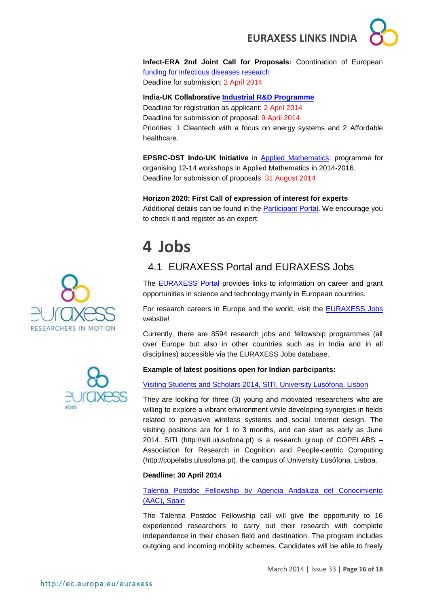

**Infect-ERA 2nd Joint Call for Proposals:** Coordination of European [funding for infectious diseases research](https://www.submission-infect-era.eu/) Deadline for submission: 2 April 2014

#### **India-UK Collaborative [Industrial R&D Programme](http://gita.org.in/funding_India-UK.html)**

Deadline for registration as applicant: 2 April 2014 Deadline for submission of proposal: 9 April 2014 Priorities: 1 Cleantech with a focus on energy systems and 2 Affordable healthcare.

**EPSRC-DST Indo-UK Initiative** in [Applied Mathematics:](http://www.icms.org.uk/proposals/indo-uk_info) programme for organising 12-14 workshops in Applied Mathematics in 2014-2016. Deadline for submission of proposals: 31 August 2014

#### **Horizon 2020: First Call of expression of interest for experts**

Additional details can be found in the **Participant Portal**. We encourage you to check it and register as an expert.

## <span id="page-15-0"></span>**4 Jobs**

### <span id="page-15-1"></span>4.1 EURAXESS Portal and EURAXESS Jobs

The [EURAXESS Portal](http://ec.europa.eu/euraxess/index.cfm/general/index) provides links to information on career and grant opportunities in science and technology mainly in European countries.

For research careers in Europe and the world, visit the **EURAXESS Jobs** website!

Currently, there are 8594 research jobs and fellowship programmes (all over Europe but also in other countries such as in India and in all disciplines) accessible via the EURAXESS Jobs database.



[Visiting Students and Scholars 2014, SITI, University Lusófona, Lisbon](http://copelabs.ulusofona.pt/orangehrm/symfony/web/index.php/recruitmentApply/jobs.html)

They are looking for three (3) young and motivated researchers who are willing to explore a vibrant environment while developing synergies in fields related to pervasive wireless systems and social Internet design. The visiting positions are for 1 to 3 months, and can start as early as June 2014. SITI (http://siti.ulusofona.pt) is a research group of COPELABS – Association for Research in Cognition and People-centric Computing (http://copelabs.ulusofona.pt). the campus of University Lusófona, Lisboa.

### **Deadline: 30 April 2014**

[Talentia Postdoc Fellowship by Agencia Andaluza del Conocimiento](http://ec.europa.eu/euraxess/index.cfm/jobs/fgDetails/66845)  [\(AAC\), Spain](http://ec.europa.eu/euraxess/index.cfm/jobs/fgDetails/66845)

The Talentia Postdoc Fellowship call will give the opportunity to 16 experienced researchers to carry out their research with complete independence in their chosen field and destination. The program includes outgoing and incoming mobility schemes. Candidates will be able to freely



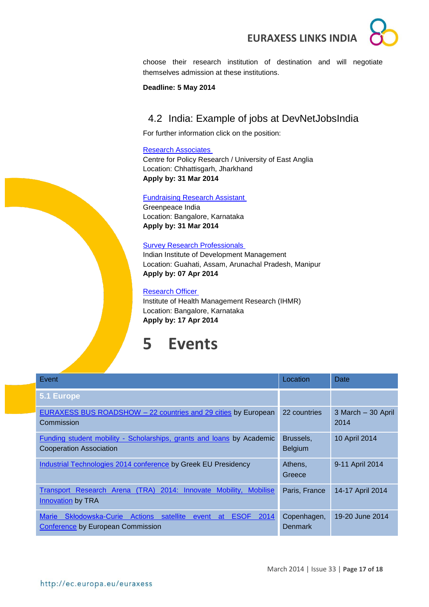choose their research institution of destination and will negotiate themselves admission at these institutions.

**Deadline: 5 May 2014**

### <span id="page-16-0"></span>4.2 India: Example of jobs at DevNetJobsIndia

For further information click on the position:

#### [Research Associates](http://www.devnetjobsindia.org/jobdescription.aspx?job_id=30344)

Centre for Policy Research / University of East Anglia Location: Chhattisgarh, Jharkhand **Apply by: 31 Mar 2014**

#### [Fundraising Research Assistant](http://www.devnetjobsindia.org/jobdescription.aspx?job_id=30972)

Greenpeace India Location: Bangalore, Karnataka **Apply by: 31 Mar 2014**

#### [Survey Research Professionals](http://www.devnetjobsindia.org/jobdescription.aspx?job_id=30696)

Indian Institute of Development Management Location: Guahati, Assam, Arunachal Pradesh, Manipur **Apply by: 07 Apr 2014**

#### [Research Officer](http://www.devnetjobsindia.org/jobdescription.aspx?job_id=31030)

Institute of Health Management Research (IHMR) Location: Bangalore, Karnataka **Apply by: 17 Apr 2014**

## <span id="page-16-1"></span>**5 Events**

| Event                                                                                                                                             | Location                    | Date                       |
|---------------------------------------------------------------------------------------------------------------------------------------------------|-----------------------------|----------------------------|
| 5.1 Europe                                                                                                                                        |                             |                            |
| <b>EURAXESS BUS ROADSHOW - 22 countries and 29 cities by European</b><br>Commission                                                               | 22 countries                | 3 March - 30 April<br>2014 |
| <b>Funding student mobility - Scholarships, grants and loans by Academic</b><br>Cooperation Association                                           | Brussels,<br><b>Belgium</b> | 10 April 2014              |
| Industrial Technologies 2014 conference by Greek EU Presidency                                                                                    | Athens,<br>Greece           | 9-11 April 2014            |
| Transport Research Arena (TRA) 2014: Innovate Mobility, Mobilise<br><b>Innovation by TRA</b>                                                      | Paris, France               | 14-17 April 2014           |
| <b>Skłodowska-Curie</b><br><b>ESOF</b><br><b>Marie</b><br>Actions<br>satellite<br>2014<br>event<br>at<br><b>Conference by European Commission</b> | Copenhagen,<br>Denmark      | 19-20 June 2014            |